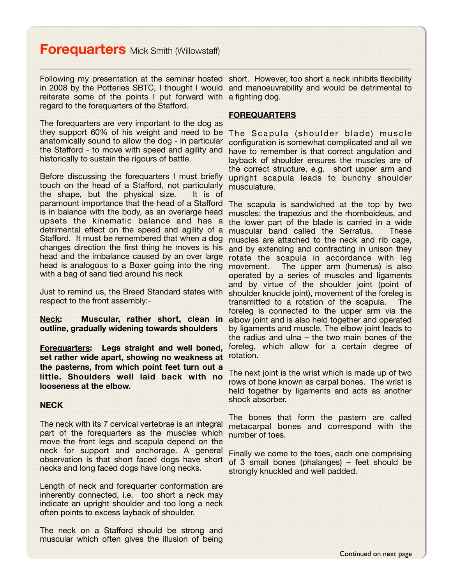# **Forequarters** Mick Smith (Willowstaff)

reiterate some of the points I put forward with a fighting dog. regard to the forequarters of the Stafford.

The forequarters are very important to the dog as they support 60% of his weight and need to be anatomically sound to allow the dog - in particular the Stafford - to move with speed and agility and historically to sustain the rigours of battle.

Before discussing the forequarters I must briefly touch on the head of a Stafford, not particularly musculature. the shape, but the physical size. It is of paramount importance that the head of a Stafford The scapula is sandwiched at the top by two is in balance with the body, as an overlarge head upsets the kinematic balance and has a detrimental effect on the speed and agility of a Stafford. It must be remembered that when a dog changes direction the first thing he moves is his and by extending and contracting in unison they head and the imbalance caused by an over large head is analogous to a Boxer going into the ring movement. with a bag of sand tied around his neck

Just to remind us, the Breed Standard states with respect to the front assembly:-

**Neck: Muscular, rather short, clean in outline, gradually widening towards shoulders**

**Forequarters: Legs straight and well boned, set rather wide apart, showing no weakness at the pasterns, from which point feet turn out a little. Shoulders well laid back with no looseness at the elbow.**

### **NECK**

The neck with its 7 cervical vertebrae is an integral part of the forequarters as the muscles which move the front legs and scapula depend on the neck for support and anchorage. A general observation is that short faced dogs have short necks and long faced dogs have long necks.

Length of neck and forequarter conformation are inherently connected, i.e. too short a neck may indicate an upright shoulder and too long a neck often points to excess layback of shoulder.

The neck on a Stafford should be strong and muscular which often gives the illusion of being

Following my presentation at the seminar hosted short. However, too short a neck inhibits flexibility in 2008 by the Potteries SBTC, I thought I would and manoeuvrability and would be detrimental to

#### **FOREQUARTERS**

The Scapula (shoulder blade) muscle configuration is somewhat complicated and all we have to remember is that correct angulation and layback of shoulder ensures the muscles are of the correct structure, e.g. short upper arm and upright scapula leads to bunchy shoulder

muscles: the trapezius and the rhomboideus, and the lower part of the blade is carried in a wide muscular band called the Serratus. These muscles are attached to the neck and rib cage, rotate the scapula in accordance with leg The upper arm (humerus) is also operated by a series of muscles and ligaments and by virtue of the shoulder joint (point of shoulder knuckle joint), movement of the foreleg is transmitted to a rotation of the scapula. The foreleg is connected to the upper arm via the elbow joint and is also held together and operated by ligaments and muscle. The elbow joint leads to the radius and ulna – the two main bones of the foreleg, which allow for a certain degree of rotation.

The next joint is the wrist which is made up of two rows of bone known as carpal bones. The wrist is held together by ligaments and acts as another shock absorber.

The bones that form the pastern are called metacarpal bones and correspond with the number of toes.

Finally we come to the toes, each one comprising of 3 small bones (phalanges) – feet should be strongly knuckled and well padded.